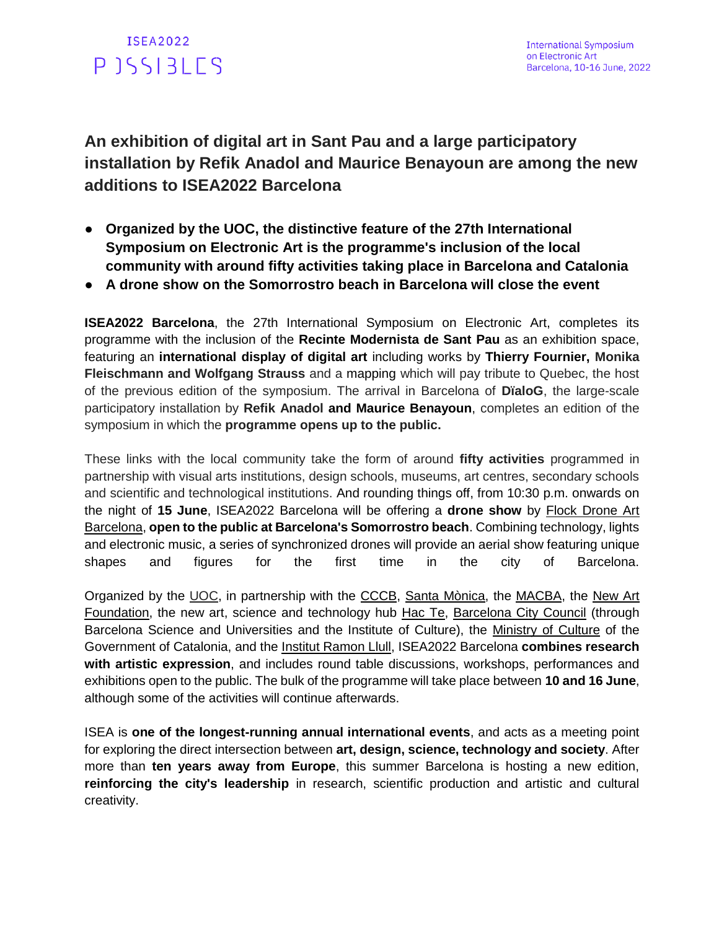

**An exhibition of digital art in Sant Pau and a large participatory installation by Refik Anadol and Maurice Benayoun are among the new additions to ISEA2022 Barcelona**

- **Organized by the UOC, the distinctive feature of the 27th International Symposium on Electronic Art is the programme's inclusion of the local community with around fifty activities taking place in Barcelona and Catalonia**
- **A drone show on the Somorrostro beach in Barcelona will close the event**

**ISEA2022 Barcelona**, the 27th International Symposium on Electronic Art, completes its programme with the inclusion of the **Recinte Modernista de Sant Pau** as an exhibition space, featuring an **international display of digital art** including works by **Thierry Fournier, Monika Fleischmann and Wolfgang Strauss** and a mapping which will pay tribute to Quebec, the host of the previous edition of the symposium. The arrival in Barcelona of **DïaloG**, the large-scale participatory installation by **Refik Anadol and Maurice Benayoun**, completes an edition of the symposium in which the **programme opens up to the public.**

These links with the local community take the form of around **fifty activities** programmed in partnership with visual arts institutions, design schools, museums, art centres, secondary schools and scientific and technological institutions. And rounding things off, from 10:30 p.m. onwards on the night of **15 June**, ISEA2022 Barcelona will be offering a **drone show** by [Flock Drone Art](https://www.flockdroneart.com/en/flock-drone-art-en/)  [Barcelona,](https://www.flockdroneart.com/en/flock-drone-art-en/) **open to the public at Barcelona's Somorrostro beach**. Combining technology, lights and electronic music, a series of synchronized drones will provide an aerial show featuring unique shapes and figures for the first time in the city of Barcelona.

Organized by the [UOC,](https://www.uoc.edu/portal/en/index.html) in partnership with the [CCCB,](https://www.cccb.org/en) [Santa Mònica,](https://artssantamonica.gencat.cat/en/index.html) the [MACBA,](https://www.macba.cat/en) the [New Art](https://www.newartfoundation.art/)  [Foundation,](https://www.newartfoundation.art/) the [new art, science and technology hub](https://hactebcn.org/) [Hac Te,](https://hactebcn.org/en/) [Barcelona City Council](https://www.barcelona.cat/en/) (through Barcelona Science and Universities and the Institute of Culture), the [Ministry of Culture](https://cultura.gencat.cat/en/inici/index.html) of the Government of Catalonia, and the [Institut Ramon Llull,](https://www.llull.cat/english/home/index.cfm) ISEA2022 Barcelona **combines research with artistic expression**, and includes round table discussions, workshops, performances and exhibitions open to the public. The bulk of the programme will take place between **10 and 16 June**, although some of the activities will continue afterwards.

ISEA is **one of the longest-running annual international events**, and acts as a meeting point for exploring the direct intersection between **art, design, science, technology and society**. After more than **ten years away from Europe**, this summer Barcelona is hosting a new edition, **reinforcing the city's leadership** in research, scientific production and artistic and cultural creativity.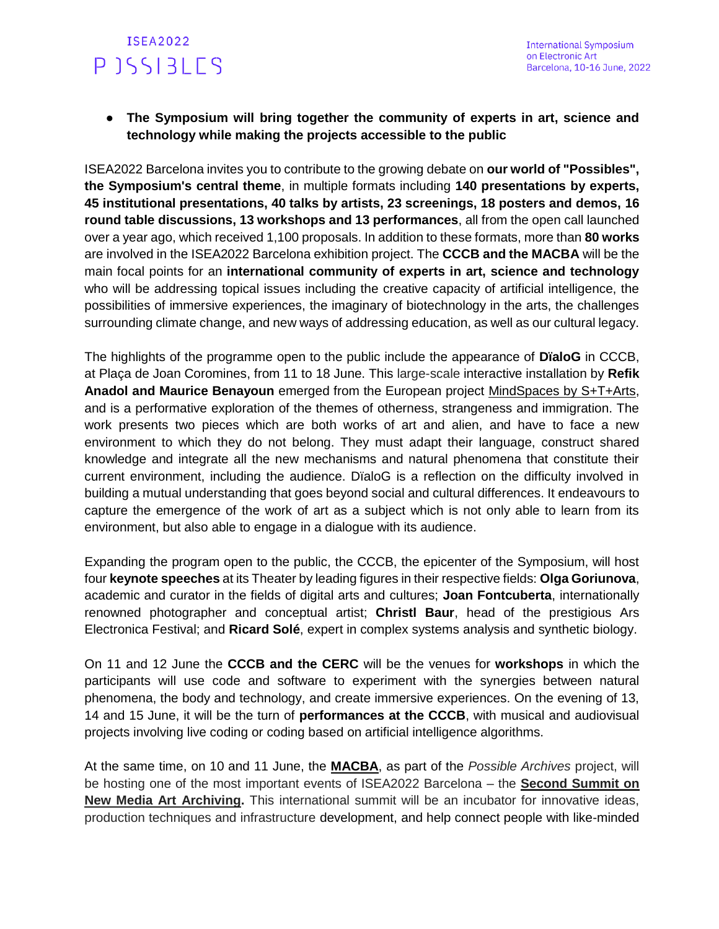● **The Symposium will bring together the community of experts in art, science and technology while making the projects accessible to the public**

ISEA2022 Barcelona invites you to contribute to the growing debate on **our world of "Possibles", the Symposium's central theme**, in multiple formats including **140 presentations by experts, 45 institutional presentations, 40 talks by artists, 23 screenings, 18 posters and demos, 16 round table discussions, 13 workshops and 13 performances**, all from the open call launched over a year ago, which received 1,100 proposals. In addition to these formats, more than **80 works** are involved in the ISEA2022 Barcelona exhibition project. The **CCCB and the MACBA** will be the main focal points for an **international community of experts in art, science and technology**  who will be addressing topical issues including the creative capacity of artificial intelligence, the possibilities of immersive experiences, the imaginary of biotechnology in the arts, the challenges surrounding climate change, and new ways of addressing education, as well as our cultural legacy.

The highlights of the programme open to the public include the appearance of **DïaloG** in CCCB, at Plaça de Joan Coromines, from 11 to 18 June. This large-scale interactive installation by **Refik Anadol and Maurice Benayoun** emerged from the European project [MindSpaces by S+T+Arts,](https://mindspaces.eu/) and is a performative exploration of the themes of otherness, strangeness and immigration. The work presents two pieces which are both works of art and alien, and have to face a new environment to which they do not belong. They must adapt their language, construct shared knowledge and integrate all the new mechanisms and natural phenomena that constitute their current environment, including the audience. DïaloG is a reflection on the difficulty involved in building a mutual understanding that goes beyond social and cultural differences. It endeavours to capture the emergence of the work of art as a subject which is not only able to learn from its environment, but also able to engage in a dialogue with its audience.

Expanding the program open to the public, the CCCB, the epicenter of the Symposium, will host four **keynote speeches** at its Theater by leading figures in their respective fields: **Olga Goriunova**, academic and curator in the fields of digital arts and cultures; **Joan Fontcuberta**, internationally renowned photographer and conceptual artist; **Christl Baur**, head of the prestigious Ars Electronica Festival; and **Ricard Solé**, expert in complex systems analysis and synthetic biology.

On 11 and 12 June the **CCCB and the CERC** will be the venues for **workshops** in which the participants will use code and software to experiment with the synergies between natural phenomena, the body and technology, and create immersive experiences. On the evening of 13, 14 and 15 June, it will be the turn of **performances at the CCCB**, with musical and audiovisual projects involving live coding or coding based on artificial intelligence algorithms.

At the same time, on 10 and 11 June, the **[MACBA](https://www.macba.cat/en)**, as part of the *Possible Archives* project, will be hosting one of the most important events of ISEA2022 Barcelona – the **[Second Summit on](https://isea2022.isea-international.org/event/2nd-summit-on-new-media-art-archiving)  [New Media Art Archiving.](https://isea2022.isea-international.org/event/2nd-summit-on-new-media-art-archiving)** This international summit will be an incubator for innovative ideas, production techniques and infrastructure development, and help connect people with like-minded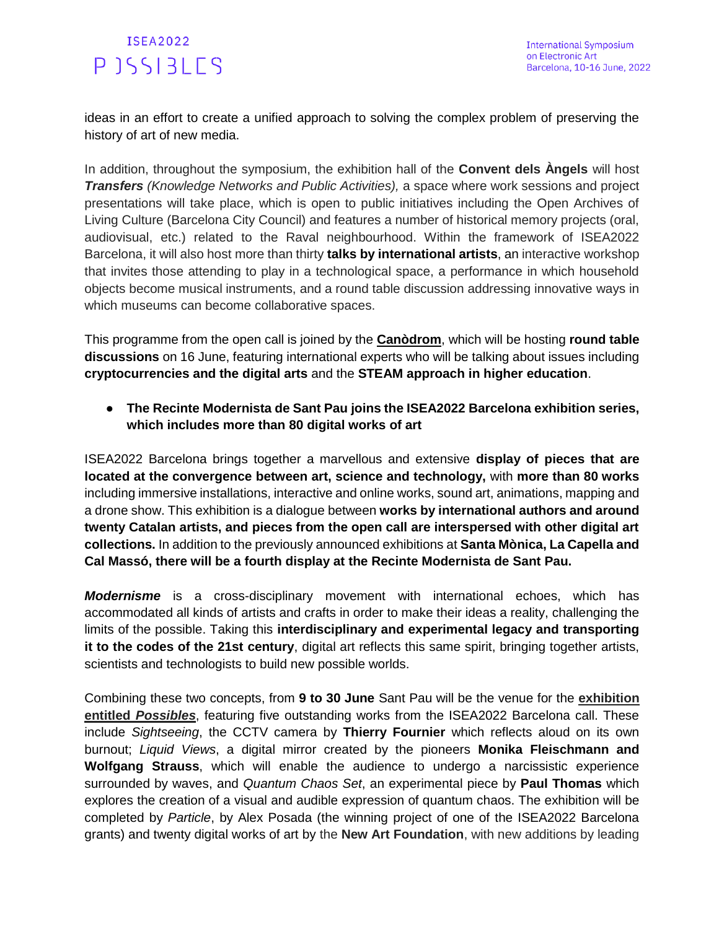ideas in an effort to create a unified approach to solving the complex problem of preserving the history of art of new media.

In addition, throughout the symposium, the exhibition hall of the **Convent dels Àngels** will host *Transfers (Knowledge Networks and Public Activities),* a space where work sessions and project presentations will take place, which is open to public initiatives including the Open Archives of Living Culture (Barcelona City Council) and features a number of historical memory projects (oral, audiovisual, etc.) related to the Raval neighbourhood. Within the framework of ISEA2022 Barcelona, it will also host more than thirty **[talks by international artists](https://isea2022.isea-international.org/event/artist-talks/)**, an interactive workshop that invites those attending to play in a technological space, a performance in which household objects become musical instruments, and a round table discussion addressing innovative ways in which museums can become collaborative spaces.

This programme from the open call is joined by the **[Canòdrom](https://canodrom.barcelona/en)**, which will be hosting **round table discussions** on 16 June, featuring international experts who will be talking about issues including **cryptocurrencies and the digital arts** and the **STEAM approach in higher education**.

● **The Recinte Modernista de Sant Pau joins the ISEA2022 Barcelona exhibition series, which includes more than 80 digital works of art**

ISEA2022 Barcelona brings together a marvellous and extensive **display of pieces that are located at the convergence between art, science and technology,** with **more than 80 works**  including immersive installations, interactive and online works, sound art, animations, mapping and a drone show. This exhibition is a dialogue between **works by international authors and around twenty Catalan artists, and pieces from the open call are interspersed with other digital art collections.** In addition to the previously announced exhibitions at **Santa Mònica, La Capella and Cal Massó, there will be a fourth display at the Recinte Modernista de Sant Pau.**

*Modernisme* is a cross-disciplinary movement with international echoes, which has accommodated all kinds of artists and crafts in order to make their ideas a reality, challenging the limits of the possible. Taking this **interdisciplinary and experimental legacy and transporting it to the codes of the 21st century**, digital art reflects this same spirit, bringing together artists, scientists and technologists to build new possible worlds.

Combining these two concepts, from **9 to 30 June** Sant Pau will be the venue for the **[exhibition](https://isea2022.isea-international.org/event/sant-pau/)  [entitled](https://isea2022.isea-international.org/event/sant-pau/)** *[Possibles](https://isea2022.isea-international.org/event/sant-pau/)*, featuring five outstanding works from the ISEA2022 Barcelona call. These include *Sightseeing*, the CCTV camera by **Thierry Fournier** which reflects aloud on its own burnout; *Liquid Views*, a digital mirror created by the pioneers **Monika Fleischmann and Wolfgang Strauss**, which will enable the audience to undergo a narcissistic experience surrounded by waves, and *Quantum Chaos Set*, an experimental piece by **Paul Thomas** which explores the creation of a visual and audible expression of quantum chaos. The exhibition will be completed by *Particle*, by Alex Posada (the winning project of one of the ISEA2022 Barcelona grants) and twenty digital works of art by the **New Art Foundation**, with new additions by leading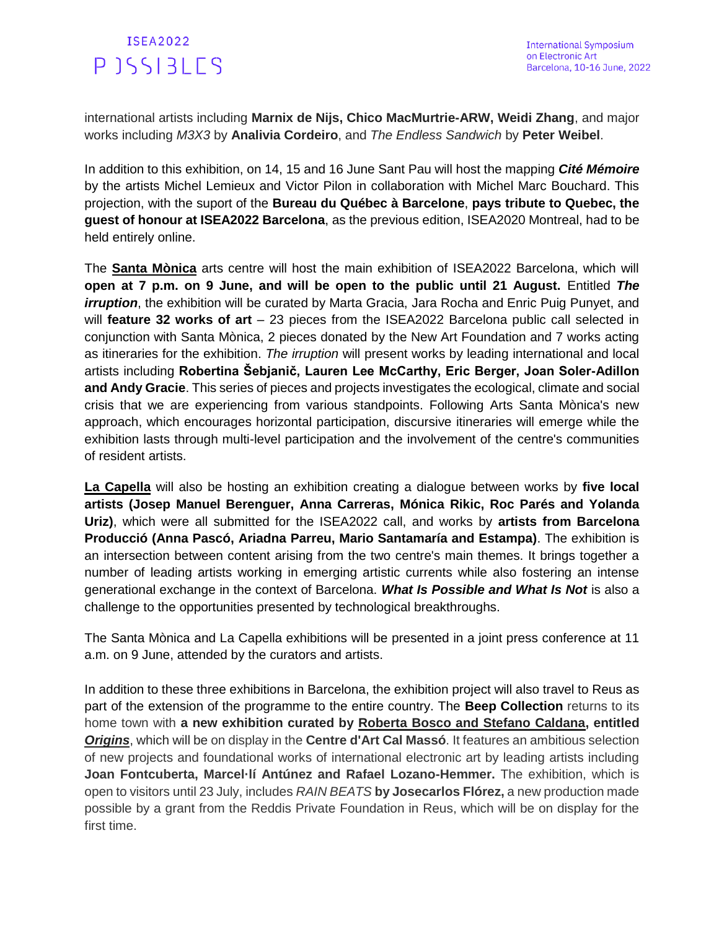international artists including **Marnix de Nijs, Chico MacMurtrie-ARW, Weidi Zhang**, and major works including *M3X3* by **Analivia Cordeiro**, and *The Endless Sandwich* by **Peter Weibel**.

In addition to this exhibition, on 14, 15 and 16 June Sant Pau will host the mapping *Cité Mémoire* by the artists Michel Lemieux and Victor Pilon in collaboration with Michel Marc Bouchard. This projection, with the suport of the **Bureau du Québec à Barcelone**, **pays tribute to Quebec, the guest of honour at ISEA2022 Barcelona**, as the previous edition, ISEA2020 Montreal, had to be held entirely online.

The **Santa Mònica** arts centre will host the main exhibition of ISEA2022 Barcelona, which will **open at 7 p.m. on 9 June, and will be open to the public until 21 August.** Entitled *The irruption*, the exhibition will be curated by Marta Gracia, Jara Rocha and Enric Puig Punyet, and will **feature 32 works of art** – 23 pieces from the ISEA2022 Barcelona public call selected in conjunction with Santa Mònica, 2 pieces donated by the New Art Foundation and 7 works acting as itineraries for the exhibition. *The irruption* will present works by leading international and local artists including **Robertina Šebjanič, Lauren Lee McCarthy, Eric Berger, Joan Soler-Adillon and Andy Gracie**. This series of pieces and projects investigates the ecological, climate and social crisis that we are experiencing from various standpoints. Following Arts Santa Mònica's new approach, which encourages horizontal participation, discursive itineraries will emerge while the exhibition lasts through multi-level participation and the involvement of the centre's communities of resident artists.

**[La Capella](https://www.lacapella.barcelona/en)** will also be hosting an exhibition creating a dialogue between works by **five local artists (Josep Manuel Berenguer, Anna Carreras, Mónica Rikic, Roc Parés and Yolanda Uriz)**, which were all submitted for the ISEA2022 call, and works by **artists from Barcelona Producció (Anna Pascó, Ariadna Parreu, Mario Santamaría and Estampa)**. The exhibition is an intersection between content arising from the two centre's main themes. It brings together a number of leading artists working in emerging artistic currents while also fostering an intense generational exchange in the context of Barcelona. *What Is Possible and What Is Not* is also a challenge to the opportunities presented by technological breakthroughs.

The Santa Mònica and La Capella exhibitions will be presented in a joint press conference at 11 a.m. on 9 June, attended by the curators and artists.

In addition to these three exhibitions in Barcelona, the exhibition project will also travel to Reus as part of the extension of the programme to the entire country. The **Beep Collection** returns to its home town with **a new exhibition curated by [Roberta Bosco and Stefano Caldana,](http://www.arteedadsilicio.com/) entitled**  *[Origins](https://drive.google.com/drive/folders/1-bs42uLU8oNREMBuurJTtepiZtx5BBXL)*, which will be on display in the **Centre d'Art Cal Massó**. It features an ambitious selection of new projects and foundational works of international electronic art by leading artists including **Joan Fontcuberta, Marcel·lí Antúnez and Rafael Lozano-Hemmer.** The exhibition, which is open to visitors until 23 July, includes *RAIN BEATS* **by Josecarlos Flórez,** a new production made possible by a grant from the Reddis Private Foundation in Reus, which will be on display for the first time.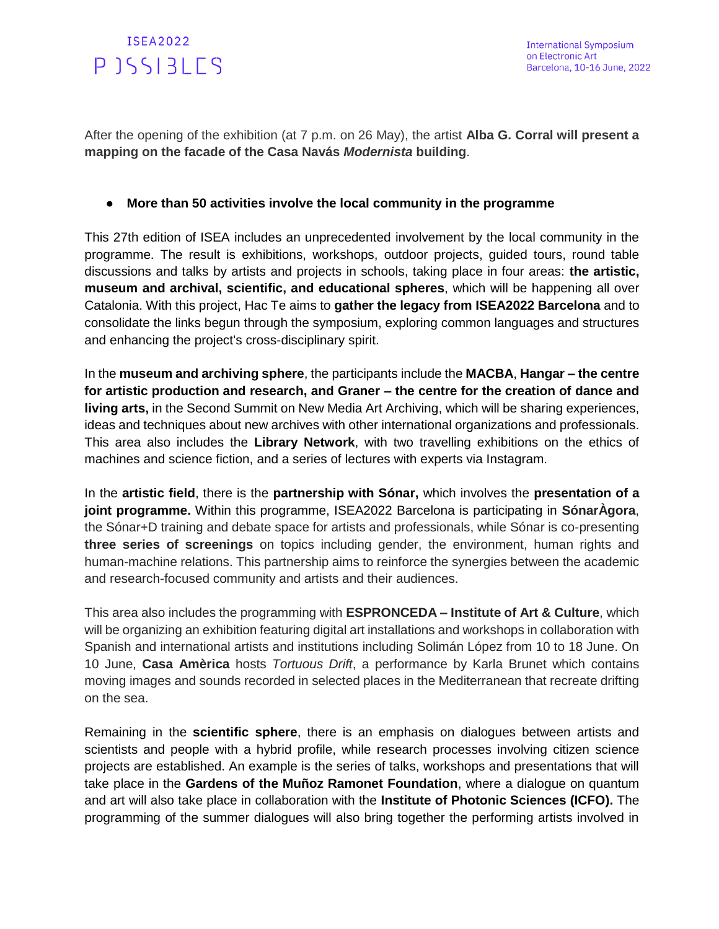

After the opening of the exhibition (at 7 p.m. on 26 May), the artist **Alba G. Corral will present a mapping on the facade of the Casa Navás** *Modernista* **building**.

#### ● **More than 50 activities involve the local community in the programme**

This 27th edition of ISEA includes an unprecedented involvement by the local community in the programme. The result is exhibitions, workshops, outdoor projects, guided tours, round table discussions and talks by artists and projects in schools, taking place in four areas: **the artistic, museum and archival, scientific, and educational spheres**, which will be happening all over Catalonia. With this project, Hac Te aims to **gather the legacy from ISEA2022 Barcelona** and to consolidate the links begun through the symposium, exploring common languages and structures and enhancing the project's cross-disciplinary spirit.

In the **museum and archiving sphere**, the participants include the **MACBA**, **Hangar – the centre for artistic production and research, and Graner – the centre for the creation of dance and living arts,** in the Second Summit on New Media Art Archiving, which will be sharing experiences, ideas and techniques about new archives with other international organizations and professionals. This area also includes the **Library Network**, with two travelling exhibitions on the ethics of machines and science fiction, and a series of lectures with experts via Instagram.

In the **artistic field**, there is the **partnership with Sónar,** which involves the **presentation of a joint programme.** Within this programme, ISEA2022 Barcelona is participating in **SónarÀgora**, the Sónar+D training and debate space for artists and professionals, while Sónar is co-presenting **three series of screenings** on topics including gender, the environment, human rights and human-machine relations. This partnership aims to reinforce the synergies between the academic and research-focused community and artists and their audiences.

This area also includes the programming with **ESPRONCEDA – Institute of Art & Culture**, which will be organizing an exhibition featuring digital art installations and workshops in collaboration with Spanish and international artists and institutions including Solimán López from 10 to 18 June. On 10 June, **Casa Amèrica** hosts *Tortuous Drift*, a performance by Karla Brunet which contains moving images and sounds recorded in selected places in the Mediterranean that recreate drifting on the sea.

Remaining in the **scientific sphere**, there is an emphasis on dialogues between artists and scientists and people with a hybrid profile, while research processes involving citizen science projects are established. An example is the series of talks, workshops and presentations that will take place in the **Gardens of the Muñoz Ramonet Foundation**, where a dialogue on quantum and art will also take place in collaboration with the **Institute of Photonic Sciences (ICFO).** The programming of the summer dialogues will also bring together the performing artists involved in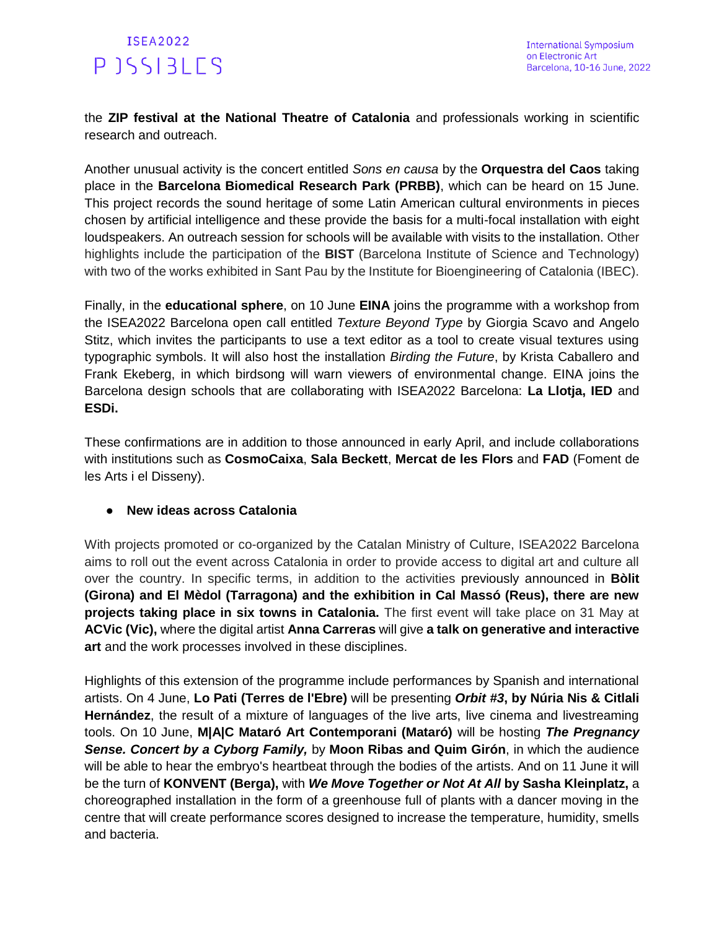the **ZIP festival at the National Theatre of Catalonia** and professionals working in scientific research and outreach.

Another unusual activity is the concert entitled *Sons en causa* by the **Orquestra del Caos** taking place in the **Barcelona Biomedical Research Park (PRBB)**, which can be heard on 15 June. This project records the sound heritage of some Latin American cultural environments in pieces chosen by artificial intelligence and these provide the basis for a multi-focal installation with eight loudspeakers. An outreach session for schools will be available with visits to the installation. Other highlights include the participation of the **BIST** (Barcelona Institute of Science and Technology) with two of the works exhibited in Sant Pau by the Institute for Bioengineering of Catalonia (IBEC).

Finally, in the **educational sphere**, on 10 June **EINA** joins the programme with a workshop from the ISEA2022 Barcelona open call entitled *Texture Beyond Type* by Giorgia Scavo and Angelo Stitz, which invites the participants to use a text editor as a tool to create visual textures using typographic symbols. It will also host the installation *Birding the Future*, by Krista Caballero and Frank Ekeberg, in which birdsong will warn viewers of environmental change. EINA joins the Barcelona design schools that are collaborating with ISEA2022 Barcelona: **La Llotja, IED** and **ESDi.**

These confirmations are in addition to those announced in early April, and include collaborations with institutions such as **CosmoCaixa**, **Sala Beckett**, **Mercat de les Flors** and **FAD** (Foment de les Arts i el Disseny).

### ● **New ideas across Catalonia**

With projects promoted or co-organized by the Catalan Ministry of Culture, ISEA2022 Barcelona aims to roll out the event across Catalonia in order to provide access to digital art and culture all over the country. In specific terms, in addition to the activities previously announced in **Bòlit (Girona) and El Mèdol (Tarragona) and the exhibition in Cal Massó (Reus), there are new projects taking place in six towns in Catalonia.** The first event will take place on 31 May at **ACVic (Vic),** where the digital artist **Anna Carreras** will give **a talk on generative and interactive art** and the work processes involved in these disciplines.

Highlights of this extension of the programme include performances by Spanish and international artists. On 4 June, **Lo Pati (Terres de l'Ebre)** will be presenting *Orbit #3***, by Núria Nis & Citlali Hernández**, the result of a mixture of languages of the live arts, live cinema and livestreaming tools. On 10 June, **M|A|C Mataró Art Contemporani (Mataró)** will be hosting *The Pregnancy Sense. Concert by a Cyborg Family,* by **Moon Ribas and Quim Girón**, in which the audience will be able to hear the embryo's heartbeat through the bodies of the artists. And on 11 June it will be the turn of **KONVENT (Berga),** with *We Move Together or Not At All* **by Sasha Kleinplatz,** a choreographed installation in the form of a greenhouse full of plants with a dancer moving in the centre that will create performance scores designed to increase the temperature, humidity, smells and bacteria.